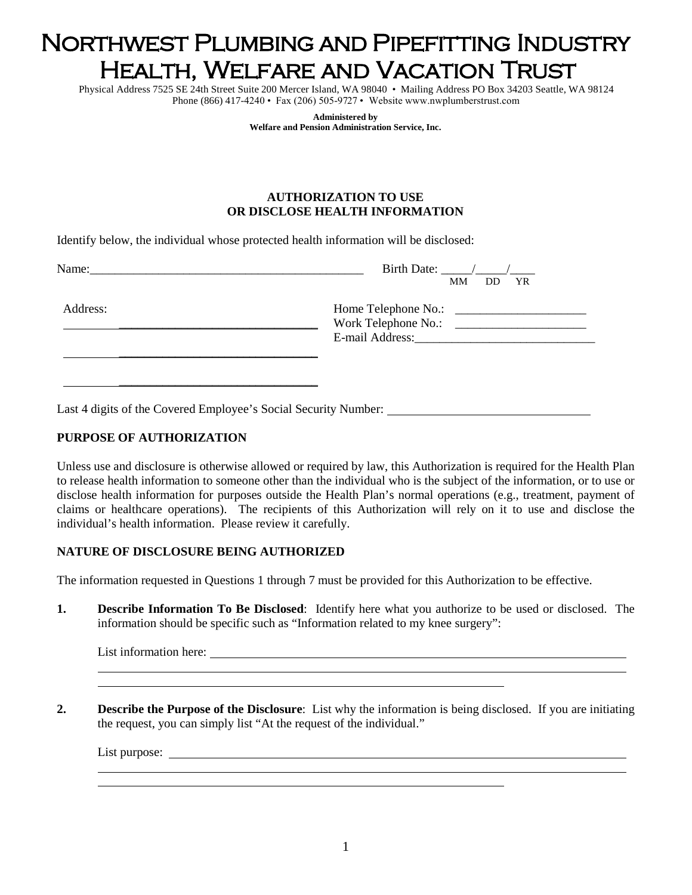# Northwest Plumbing and Pipefitting Industry Health, Welfare and Vacation Trust

Physical Address 7525 SE 24th Street Suite 200 Mercer Island, WA 98040 • Mailing Address PO Box 34203 Seattle, WA 98124 Phone (866) 417-4240 • Fax (206) 505-9727 • Website www.nwplumberstrust.com

> **Administered by Welfare and Pension Administration Service, Inc.**

#### **AUTHORIZATION TO USE OR DISCLOSE HEALTH INFORMATION**

Identify below, the individual whose protected health information will be disclosed:

| Name:    | Birth Date: $\frac{\sqrt{2}}{2}$<br>MМ<br>DD YR                                         |
|----------|-----------------------------------------------------------------------------------------|
| Address: | Work Telephone No.:<br><u> 1999 - John Barnett, fransk politiker</u><br>E-mail Address: |
|          |                                                                                         |

Last 4 digits of the Covered Employee's Social Security Number:

# **PURPOSE OF AUTHORIZATION**

Unless use and disclosure is otherwise allowed or required by law, this Authorization is required for the Health Plan to release health information to someone other than the individual who is the subject of the information, or to use or disclose health information for purposes outside the Health Plan's normal operations (e.g., treatment, payment of claims or healthcare operations). The recipients of this Authorization will rely on it to use and disclose the individual's health information. Please review it carefully.

# **NATURE OF DISCLOSURE BEING AUTHORIZED**

The information requested in Questions 1 through 7 must be provided for this Authorization to be effective.

**1. Describe Information To Be Disclosed**: Identify here what you authorize to be used or disclosed. The information should be specific such as "Information related to my knee surgery":

**2. Describe the Purpose of the Disclosure**: List why the information is being disclosed. If you are initiating the request, you can simply list "At the request of the individual."

List purpose: \_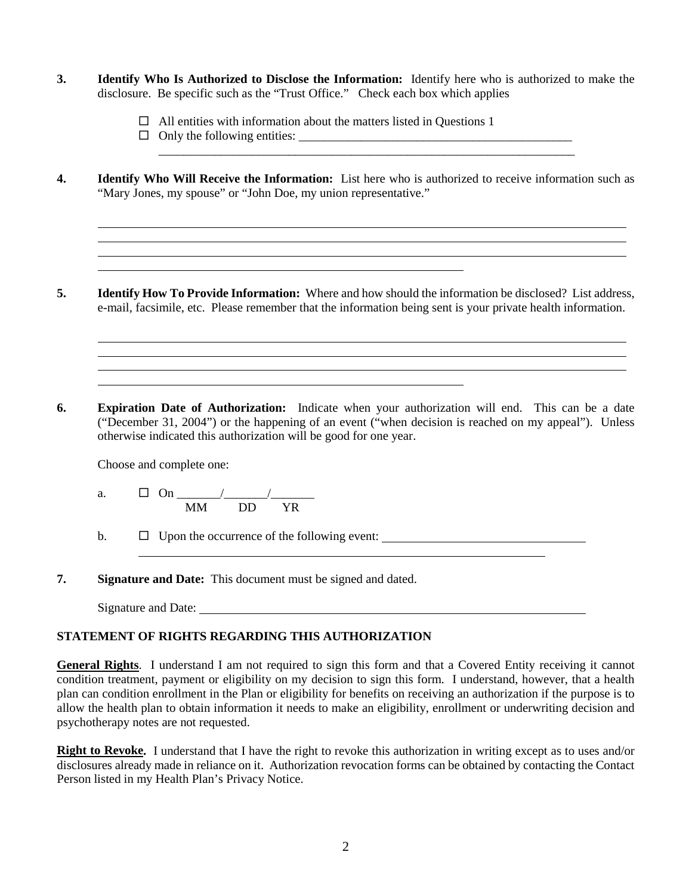- **3. Identify Who Is Authorized to Disclose the Information:** Identify here who is authorized to make the disclosure. Be specific such as the "Trust Office." Check each box which applies
	- $\Box$  All entities with information about the matters listed in Questions 1
	- Only the following entities: \_\_\_\_\_\_\_\_\_\_\_\_\_\_\_\_\_\_\_\_\_\_\_\_\_\_\_\_\_\_\_\_\_\_\_\_\_\_\_\_\_\_\_\_
- **4. Identify Who Will Receive the Information:** List here who is authorized to receive information such as "Mary Jones, my spouse" or "John Doe, my union representative."

\_\_\_\_\_\_\_\_\_\_\_\_\_\_\_\_\_\_\_\_\_\_\_\_\_\_\_\_\_\_\_\_\_\_\_\_\_\_\_\_\_\_\_\_\_\_\_\_\_\_\_\_\_\_\_\_\_\_\_\_\_\_\_\_\_\_\_

- **5. Identify How To Provide Information:** Where and how should the information be disclosed? List address, e-mail, facsimile, etc. Please remember that the information being sent is your private health information.
- **6. Expiration Date of Authorization:** Indicate when your authorization will end. This can be a date ("December 31, 2004") or the happening of an event ("when decision is reached on my appeal"). Unless otherwise indicated this authorization will be good for one year.

Choose and complete one:

a. On \_\_\_\_\_\_\_/\_\_\_\_\_\_\_/\_\_\_\_\_\_\_ MM DD YR

b.  $\Box$  Upon the occurrence of the following event:

**7. Signature and Date:** This document must be signed and dated.

Signature and Date:

# **STATEMENT OF RIGHTS REGARDING THIS AUTHORIZATION**

**General Rights**. I understand I am not required to sign this form and that a Covered Entity receiving it cannot condition treatment, payment or eligibility on my decision to sign this form. I understand, however, that a health plan can condition enrollment in the Plan or eligibility for benefits on receiving an authorization if the purpose is to allow the health plan to obtain information it needs to make an eligibility, enrollment or underwriting decision and psychotherapy notes are not requested.

**Right to Revoke.** I understand that I have the right to revoke this authorization in writing except as to uses and/or disclosures already made in reliance on it. Authorization revocation forms can be obtained by contacting the Contact Person listed in my Health Plan's Privacy Notice.